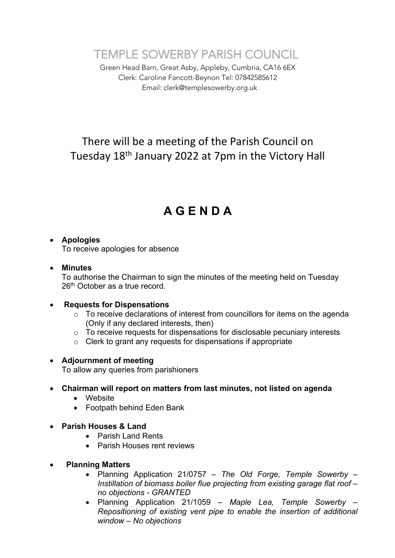TEMPLE SOWERBY PARISH COUNCIL

Green Head Barn, Great Asby, Appleby, Cumbria, CA16 6EX Clerk: Caroline Fancott-Beynon Tel: 07842585612 Email: clerk@templesowerby.org.uk

# There will be a meeting of the Parish Council on Tuesday 18th January 2022 at 7pm in the Victory Hall

# **A G E N D A**

# • **Apologies**

To receive apologies for absence

#### • **Minutes**

To authorise the Chairman to sign the minutes of the meeting held on Tuesday 26<sup>th</sup> October as a true record.

#### • **Requests for Dispensations**

- $\circ$  To receive declarations of interest from councillors for items on the agenda (Only if any declared interests, then)
- o To receive requests for dispensations for disclosable pecuniary interests
- o Clerk to grant any requests for dispensations if appropriate

#### • **Adjournment of meeting**

To allow any queries from parishioners

# • **Chairman will report on matters from last minutes, not listed on agenda**

- Website
- Footpath behind Eden Bank
- **Parish Houses & Land**
	- Parish Land Rents
	- Parish Houses rent reviews
- • **Planning Matters**
	- Planning Application 21/0757 *– The Old Forge, Temple Sowerby – Instillation of biomass boiler flue projecting from existing garage flat roof – no objections - GRANTED*
	- Planning Application 21/1059 *– Maple Lea, Temple Sowerby – Repositioning of existing vent pipe to enable the insertion of additional window – No objections*